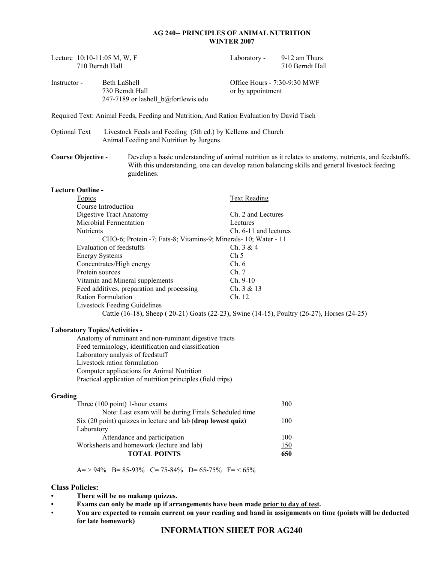## **AG 240-- PRINCIPLES OF ANIMAL NUTRITION WINTER 2007**

|                                                                                                              | 710 Berndt Hall                                                                                          | Lecture 10:10-11:05 M, W, F                                                                                                        | Laboratory -                                      | 9-12 am Thurs<br>710 Berndt Hall                                                                                                                                                                         |  |  |  |
|--------------------------------------------------------------------------------------------------------------|----------------------------------------------------------------------------------------------------------|------------------------------------------------------------------------------------------------------------------------------------|---------------------------------------------------|----------------------------------------------------------------------------------------------------------------------------------------------------------------------------------------------------------|--|--|--|
| Instructor -                                                                                                 |                                                                                                          | Beth LaShell<br>730 Berndt Hall<br>247-7189 or lashell_b@fortlewis.edu                                                             | Office Hours - 7:30-9:30 MWF<br>or by appointment |                                                                                                                                                                                                          |  |  |  |
|                                                                                                              |                                                                                                          | Required Text: Animal Feeds, Feeding and Nutrition, And Ration Evaluation by David Tisch                                           |                                                   |                                                                                                                                                                                                          |  |  |  |
| <b>Optional Text</b>                                                                                         |                                                                                                          | Livestock Feeds and Feeding (5th ed.) by Kellems and Church<br>Animal Feeding and Nutrition by Jurgens                             |                                                   |                                                                                                                                                                                                          |  |  |  |
| <b>Course Objective -</b>                                                                                    |                                                                                                          | guidelines.                                                                                                                        |                                                   | Develop a basic understanding of animal nutrition as it relates to anatomy, nutrients, and feedstuffs.<br>With this understanding, one can develop ration balancing skills and general livestock feeding |  |  |  |
| <b>Lecture Outline -</b>                                                                                     |                                                                                                          |                                                                                                                                    |                                                   |                                                                                                                                                                                                          |  |  |  |
|                                                                                                              | <b>Topics</b>                                                                                            |                                                                                                                                    | <b>Text Reading</b>                               |                                                                                                                                                                                                          |  |  |  |
|                                                                                                              |                                                                                                          | Course Introduction                                                                                                                |                                                   |                                                                                                                                                                                                          |  |  |  |
|                                                                                                              |                                                                                                          | Digestive Tract Anatomy                                                                                                            | Ch. 2 and Lectures                                |                                                                                                                                                                                                          |  |  |  |
|                                                                                                              |                                                                                                          | Microbial Fermentation                                                                                                             | Lectures                                          |                                                                                                                                                                                                          |  |  |  |
|                                                                                                              | Nutrients                                                                                                |                                                                                                                                    | Ch. 6-11 and lectures                             |                                                                                                                                                                                                          |  |  |  |
|                                                                                                              | CHO-6; Protein -7; Fats-8; Vitamins-9; Minerals- 10; Water - 11<br>Evaluation of feedstuffs<br>Ch. 3 & 4 |                                                                                                                                    |                                                   |                                                                                                                                                                                                          |  |  |  |
|                                                                                                              | <b>Energy Systems</b>                                                                                    |                                                                                                                                    | Ch <sub>5</sub>                                   |                                                                                                                                                                                                          |  |  |  |
|                                                                                                              |                                                                                                          | Concentrates/High energy                                                                                                           | Ch.6                                              |                                                                                                                                                                                                          |  |  |  |
|                                                                                                              | Protein sources                                                                                          |                                                                                                                                    | Ch. 7                                             |                                                                                                                                                                                                          |  |  |  |
|                                                                                                              |                                                                                                          | Vitamin and Mineral supplements                                                                                                    | Ch. 9-10                                          |                                                                                                                                                                                                          |  |  |  |
|                                                                                                              |                                                                                                          | Feed additives, preparation and processing                                                                                         | Ch. 3 & 13                                        |                                                                                                                                                                                                          |  |  |  |
|                                                                                                              |                                                                                                          | <b>Ration Formulation</b>                                                                                                          | Ch. 12                                            |                                                                                                                                                                                                          |  |  |  |
|                                                                                                              |                                                                                                          | <b>Livestock Feeding Guidelines</b><br>Cattle (16-18), Sheep (20-21) Goats (22-23), Swine (14-15), Poultry (26-27), Horses (24-25) |                                                   |                                                                                                                                                                                                          |  |  |  |
|                                                                                                              |                                                                                                          |                                                                                                                                    |                                                   |                                                                                                                                                                                                          |  |  |  |
|                                                                                                              |                                                                                                          | <b>Laboratory Topics/Activities -</b>                                                                                              |                                                   |                                                                                                                                                                                                          |  |  |  |
| Anatomy of ruminant and non-ruminant digestive tracts<br>Feed terminology, identification and classification |                                                                                                          |                                                                                                                                    |                                                   |                                                                                                                                                                                                          |  |  |  |
|                                                                                                              |                                                                                                          | Laboratory analysis of feedstuff                                                                                                   |                                                   |                                                                                                                                                                                                          |  |  |  |
|                                                                                                              |                                                                                                          | Livestock ration formulation                                                                                                       |                                                   |                                                                                                                                                                                                          |  |  |  |
|                                                                                                              |                                                                                                          | Computer applications for Animal Nutrition                                                                                         |                                                   |                                                                                                                                                                                                          |  |  |  |
|                                                                                                              |                                                                                                          | Practical application of nutrition principles (field trips)                                                                        |                                                   |                                                                                                                                                                                                          |  |  |  |
| Grading                                                                                                      |                                                                                                          |                                                                                                                                    |                                                   |                                                                                                                                                                                                          |  |  |  |
|                                                                                                              |                                                                                                          | Three $(100 \text{ point})$ 1-hour exams                                                                                           |                                                   | 300                                                                                                                                                                                                      |  |  |  |
|                                                                                                              |                                                                                                          | Note: Last exam will be during Finals Scheduled time                                                                               |                                                   |                                                                                                                                                                                                          |  |  |  |
|                                                                                                              |                                                                                                          | Six (20 point) quizzes in lecture and lab (drop lowest quiz)                                                                       |                                                   | 100                                                                                                                                                                                                      |  |  |  |
|                                                                                                              | Laboratory                                                                                               |                                                                                                                                    |                                                   |                                                                                                                                                                                                          |  |  |  |
|                                                                                                              |                                                                                                          | Attendance and participation                                                                                                       |                                                   | 100                                                                                                                                                                                                      |  |  |  |
|                                                                                                              |                                                                                                          | Worksheets and homework (lecture and lab)<br><b>TOTAL POINTS</b>                                                                   |                                                   | <u>150</u><br>650                                                                                                                                                                                        |  |  |  |
|                                                                                                              |                                                                                                          |                                                                                                                                    |                                                   |                                                                                                                                                                                                          |  |  |  |
|                                                                                                              |                                                                                                          | $A = > 94\%$ B= 85-93% C= 75-84% D= 65-75% F= < 65%                                                                                |                                                   |                                                                                                                                                                                                          |  |  |  |
| <b>Class Policies:</b>                                                                                       |                                                                                                          |                                                                                                                                    |                                                   |                                                                                                                                                                                                          |  |  |  |
|                                                                                                              |                                                                                                          | There will be no makeup quizzes.                                                                                                   |                                                   |                                                                                                                                                                                                          |  |  |  |

- **Exams can only be made up if arrangements have been made prior to day of test.**
- **You are expected to remain current on your reading and hand in assignments on time (points will be deducted for late homework)**